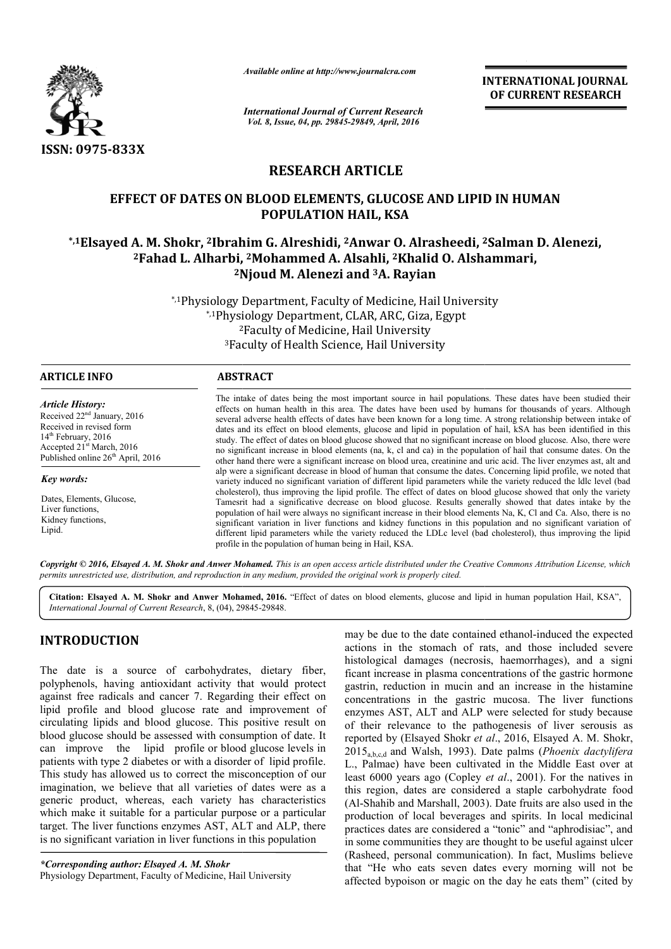

*Available online at http://www.journalcra.com*

*International Journal of Current Research Vol. 8, Issue, 04, pp. 29845-29849, April, 2016*

**INTERNATIONAL JOURNAL OF CURRENT RESEARCH** 

# **RESEARCH ARTICLE**

# **EFFECT OF DATES ON BLOOD ELEMENTS, GLUCOSE AND LIPID IN HUMAN**  EFFECT OF DATES ON BLOOD ELEMENTS, GLUCOSE AND LIPID IN HUMAN<br>POPULATION HAIL, KSA<br>Lisayed A. M. Shokr, <sup>2</sup>Ibrahim G. Alreshidi, <sup>2</sup>Anwar O. Alrasheedi, <sup>2</sup>Salman D. Alenezi;\* **POPULATION HAIL, KSA**

# <sup>2</sup>Fahad L. Alharbi, <sup>2</sup>Mohammed A. Alsahli, <sup>2</sup>Khalid O. Alshammari, <sup>2</sup>Njoud M. Alenezi and <sup>3</sup>A. Rayian

\*,1Physiology Department, Faculty of Medicine, Hail University<br>\*,1Physiology Department, CLAR, ARC, Giza, Egypt \*,1Physiology Department, CLAR, ARC, Giza, Egypt 2 2Faculty of Medicine, Hail University 3Faculty of Health Science, Hail University Faculty

| <b>ARTICLE INFO</b>                                                                                                                                                                                     | <b>ABSTRACT</b>                                                                                                                                                                                                                                                                                                                                                                                                                                                                                                                                                                                                                                                                                                                                                                                                                      |
|---------------------------------------------------------------------------------------------------------------------------------------------------------------------------------------------------------|--------------------------------------------------------------------------------------------------------------------------------------------------------------------------------------------------------------------------------------------------------------------------------------------------------------------------------------------------------------------------------------------------------------------------------------------------------------------------------------------------------------------------------------------------------------------------------------------------------------------------------------------------------------------------------------------------------------------------------------------------------------------------------------------------------------------------------------|
| <b>Article History:</b><br>Received $22nd$ January, 2016<br>Received in revised form<br>$14th$ February, 2016<br>Accepted 21 <sup>st</sup> March, 2016<br>Published online 26 <sup>th</sup> April, 2016 | The intake of dates being the most important source in hail populations. These dates have been studied their<br>effects on human health in this area. The dates have been used by humans for thousands of years. Although<br>several adverse health effects of dates have been known for a long time. A strong relationship between intake of<br>dates and its effect on blood elements, glucose and lipid in population of hail, kSA has been identified in this<br>study. The effect of dates on blood glucose showed that no significant increase on blood glucose. Also, there were<br>no significant increase in blood elements (na, k, cl and ca) in the population of hail that consume dates. On the<br>other hand there were a significant increase on blood urea, creatinine and uric acid. The liver enzymes ast, alt and |
| Key words:                                                                                                                                                                                              | alp were a significant decrease in blood of human that consume the dates. Concerning lipid profile, we noted that<br>variety induced no significant variation of different lipid parameters while the variety reduced the Idlc level (bad                                                                                                                                                                                                                                                                                                                                                                                                                                                                                                                                                                                            |
| Dates, Elements, Glucose,<br>Liver functions.<br>Kidney functions.<br>Lipid.                                                                                                                            | cholesterol), thus improving the lipid profile. The effect of dates on blood glucose showed that only the variety<br>Tamesrit had a significative decrease on blood glucose. Results generally showed that dates intake by the<br>population of hail were always no significant increase in their blood elements Na, K, Cl and Ca. Also, there is no<br>significant variation in liver functions and kidney functions in this population and no significant variation of<br>different lipid parameters while the variety reduced the LDLc level (bad cholesterol), thus improving the lipid<br>profile in the population of human being in Hail, KSA.                                                                                                                                                                                |

Copyright © 2016, Elsayed A. M. Shokr and Anwer Mohamed. This is an open access article distributed under the Creative Commons Attribution License, which *permits unrestricted use, distribution, and reproduction in any medium, provided the original work is properly cited.*

Citation: Elsayed A. M. Shokr and Anwer Mohamed, 2016. "Effect of dates on blood elements, glucose and lipid in human population Hail, KSA", *International Journal of Current Research*, 8, (04), 29845 29845-29848.

# **INTRODUCTION**

The date is a source of carbohydrates, dietary fiber, polyphenols, having antioxidant activity that would protect against free radicals and cancer 7. Regarding their effect on lipid profile and blood glucose rate and improvement of circulating lipids and blood glucose. This positive result on blood glucose should be assessed with consumption of date. It can improve the lipid profile or blood glucose levels in patients with type 2 diabetes or with a disorder of lipid profile. This study has allowed us to correct the misconception of our imagination, we believe that all varieties of dates were as a generic product, whereas, each variety has characteristics which make it suitable for a particular purpose or a particular target. The liver functions enzymes AST, ALT and ALP, there is no significant variation in liver functions in this population

may be due to the date contained ethanol<br>actions in the stomach of rats, and t<br>histological damages (necrosis, haemon<br>antioxidant activity that would protect<br>and cancer 7. Regarding their effect on<br>concentrations in measu actions in the stomach of rats, and those included severe histological damages (necrosis, haemorrhages), and a signi ficant increase in plasma concentrations of the gastric hormone gastrin, reduction in mucin and an increase in the histamine concentrations in the gastric mucosa. The liver functions enzymes AST, ALT and ALP were selected for study because of their relevance to the pathogenesis of liver serousis as actions in the stomach of rats, and those included severe histological damages (necrosis, haemorrhages), and a signi ficant increase in plasma concentrations of the gastric hormone gastrin, reduction in mucin and an increa 2015a,b,c,d and Walsh, 1993). Date palms ( palms *Phoenix dactylifera*  L., Palmae) have been cultivated in the Middle East over at least 6000 years ago (Copley *et al*., 2001). For the natives in this region, dates are considered a staple carbohydrate food this region, dates are considered a staple carbohydrate food (Al-Shahib and Marshall, 2003). Date fruits are also used in the production of local beverages and spirits. In local medicinal practices dates are considered a "tonic" and "aphrodisiac", and in some communities they are thought to be useful against ulcer (Rasheed, personal communication). In fact, Muslims believe that "He who eats seven dates every morning will not be affected bypoison or magic on the day he eats them" (cited by may be due to the date contained ethanol-induced the expected local beverages and spirits. In local medic<br>are considered a "tonic" and "aphrodisiac",<br>unities they are thought to be useful against u INTERNATIONAL JOURNAL<br>
For Research<br>
2017 Correlation of the CORRENT RESEARCH<br>
29. April, 2016<br>
31.4 April, 2016<br>
CLUCCSE AND LIPID IN HUMAN<br>
EIL, USA<br>
war O. Alrasheedi, <sup>2</sup>Salman D. Alenezi,<br>
III, KSA<br>
war O. Alrasheedi

*<sup>\*</sup>Corresponding author: Elsayed A. M. Shokr* Physiology Department, Faculty of Medicine, Hail University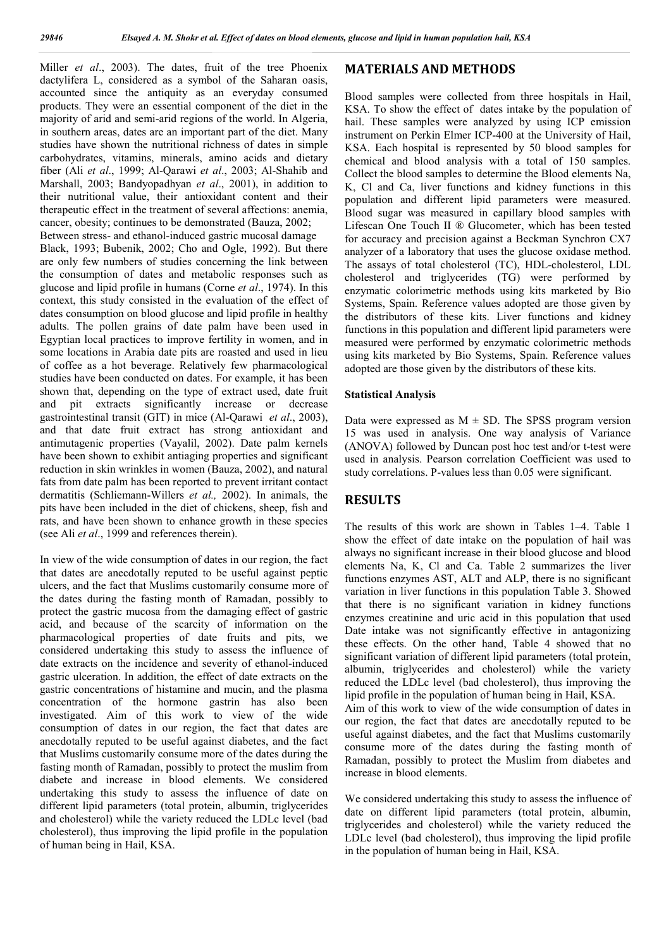Miller *et al*., 2003). The dates, fruit of the tree Phoenix dactylifera L, considered as a symbol of the Saharan oasis, accounted since the antiquity as an everyday consumed products. They were an essential component of the diet in the majority of arid and semi-arid regions of the world. In Algeria, in southern areas, dates are an important part of the diet. Many studies have shown the nutritional richness of dates in simple carbohydrates, vitamins, minerals, amino acids and dietary fiber (Ali *et al*., 1999; Al-Qarawi *et al*., 2003; Al-Shahib and Marshall, 2003; Bandyopadhyan *et al*., 2001), in addition to their nutritional value, their antioxidant content and their therapeutic effect in the treatment of several affections: anemia, cancer, obesity; continues to be demonstrated (Bauza, 2002; Between stress- and ethanol-induced gastric mucosal damage Black, 1993; Bubenik, 2002; Cho and Ogle, 1992). But there are only few numbers of studies concerning the link between the consumption of dates and metabolic responses such as glucose and lipid profile in humans (Corne *et al*., 1974). In this context, this study consisted in the evaluation of the effect of dates consumption on blood glucose and lipid profile in healthy adults. The pollen grains of date palm have been used in Egyptian local practices to improve fertility in women, and in some locations in Arabia date pits are roasted and used in lieu of coffee as a hot beverage. Relatively few pharmacological studies have been conducted on dates. For example, it has been shown that, depending on the type of extract used, date fruit and pit extracts significantly increase or decrease gastrointestinal transit (GIT) in mice (Al-Qarawi *et al*., 2003), and that date fruit extract has strong antioxidant and antimutagenic properties (Vayalil, 2002). Date palm kernels have been shown to exhibit antiaging properties and significant reduction in skin wrinkles in women (Bauza, 2002), and natural fats from date palm has been reported to prevent irritant contact dermatitis (Schliemann-Willers *et al.,* 2002). In animals, the pits have been included in the diet of chickens, sheep, fish and rats, and have been shown to enhance growth in these species (see Ali *et al*., 1999 and references therein).

In view of the wide consumption of dates in our region, the fact that dates are anecdotally reputed to be useful against peptic ulcers, and the fact that Muslims customarily consume more of the dates during the fasting month of Ramadan, possibly to protect the gastric mucosa from the damaging effect of gastric acid, and because of the scarcity of information on the pharmacological properties of date fruits and pits, we considered undertaking this study to assess the influence of date extracts on the incidence and severity of ethanol-induced gastric ulceration. In addition, the effect of date extracts on the gastric concentrations of histamine and mucin, and the plasma concentration of the hormone gastrin has also been investigated. Aim of this work to view of the wide consumption of dates in our region, the fact that dates are anecdotally reputed to be useful against diabetes, and the fact that Muslims customarily consume more of the dates during the fasting month of Ramadan, possibly to protect the muslim from diabete and increase in blood elements. We considered undertaking this study to assess the influence of date on different lipid parameters (total protein, albumin, triglycerides and cholesterol) while the variety reduced the LDLc level (bad cholesterol), thus improving the lipid profile in the population of human being in Hail, KSA.

#### **MATERIALS AND METHODS**

Blood samples were collected from three hospitals in Hail, KSA. To show the effect of dates intake by the population of hail. These samples were analyzed by using ICP emission instrument on Perkin Elmer ICP-400 at the University of Hail, KSA. Each hospital is represented by 50 blood samples for chemical and blood analysis with a total of 150 samples. Collect the blood samples to determine the Blood elements Na, K, Cl and Ca, liver functions and kidney functions in this population and different lipid parameters were measured. Blood sugar was measured in capillary blood samples with Lifescan One Touch II ® Glucometer, which has been tested for accuracy and precision against a Beckman Synchron CX7 analyzer of a laboratory that uses the glucose oxidase method. The assays of total cholesterol (TC), HDL-cholesterol, LDL cholesterol and triglycerides (TG) were performed by enzymatic colorimetric methods using kits marketed by Bio Systems, Spain. Reference values adopted are those given by the distributors of these kits. Liver functions and kidney functions in this population and different lipid parameters were measured were performed by enzymatic colorimetric methods using kits marketed by Bio Systems, Spain. Reference values adopted are those given by the distributors of these kits.

#### **Statistical Analysis**

Data were expressed as  $M \pm SD$ . The SPSS program version 15 was used in analysis. One way analysis of Variance (ANOVA) followed by Duncan post hoc test and/or t-test were used in analysis. Pearson correlation Coefficient was used to study correlations. P-values less than 0.05 were significant.

## **RESULTS**

The results of this work are shown in Tables 1–4. Table 1 show the effect of date intake on the population of hail was always no significant increase in their blood glucose and blood elements Na, K, Cl and Ca. Table 2 summarizes the liver functions enzymes AST, ALT and ALP, there is no significant variation in liver functions in this population Table 3. Showed that there is no significant variation in kidney functions enzymes creatinine and uric acid in this population that used Date intake was not significantly effective in antagonizing these effects. On the other hand, Table 4 showed that no significant variation of different lipid parameters (total protein, albumin, triglycerides and cholesterol) while the variety reduced the LDLc level (bad cholesterol), thus improving the lipid profile in the population of human being in Hail, KSA. Aim of this work to view of the wide consumption of dates in our region, the fact that dates are anecdotally reputed to be useful against diabetes, and the fact that Muslims customarily consume more of the dates during the fasting month of Ramadan, possibly to protect the Muslim from diabetes and increase in blood elements.

We considered undertaking this study to assess the influence of date on different lipid parameters (total protein, albumin, triglycerides and cholesterol) while the variety reduced the LDLc level (bad cholesterol), thus improving the lipid profile in the population of human being in Hail, KSA.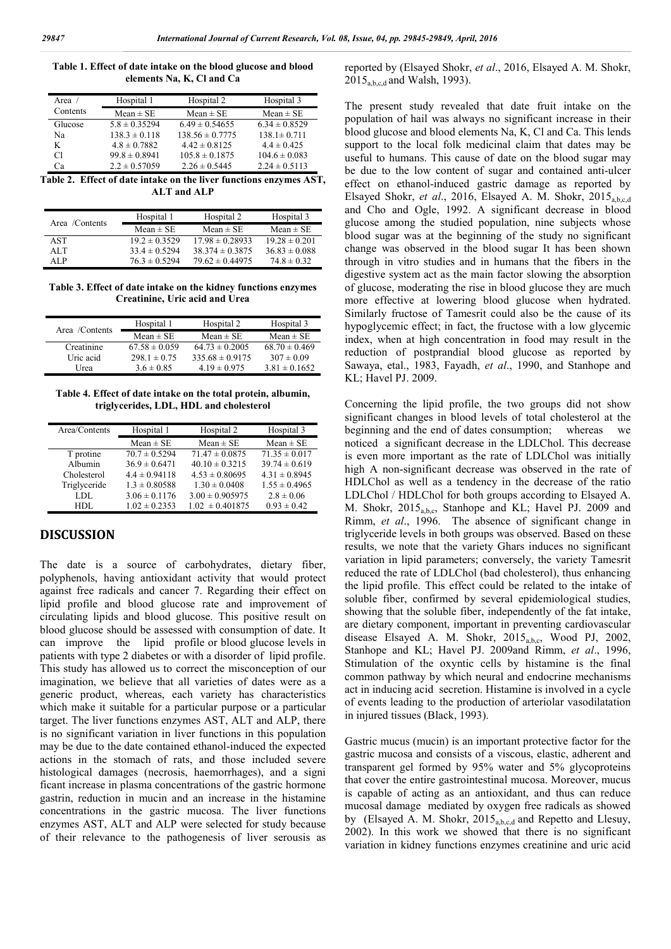| Table 1. Effect of date intake on the blood glucose and blood |  |
|---------------------------------------------------------------|--|
| elements Na, K, Cl and Ca                                     |  |

| Area $/$ | Hospital 1        | Hospital 2          | Hospital 3        |
|----------|-------------------|---------------------|-------------------|
| Contents | $Mean \pm SE$     | Mean $\pm$ SE       | $Mean \pm SE$     |
| Glucose  | $5.8 \pm 0.35294$ | $6.49 \pm 0.54655$  | $6.34 \pm 0.8529$ |
| Na       | $138.3 \pm 0.118$ | $138.56 \pm 0.7775$ | $138.1 \pm 0.711$ |
| K        | $4.8 \pm 0.7882$  | $4.42 \pm 0.8125$   | $4.4 \pm 0.425$   |
| Сl       | $99.8 \pm 0.8941$ | $105.8 \pm 0.1875$  | $104.6 \pm 0.083$ |
| Cа       | $2.2 \pm 0.57059$ | $2.26 \pm 0.5445$   | $2.24 \pm 0.5113$ |

**Table 2. Effect of date intake on the liver functions enzymes AST, ALT and ALP**

| Area /Contents | Hospital 1        | Hospital 2          | Hospital 3        |
|----------------|-------------------|---------------------|-------------------|
|                | Mean $\pm$ SE     | Mean $\pm$ SE       | Mean $\pm$ SE     |
| <b>AST</b>     | $19.2 \pm 0.3529$ | $17.98 \pm 0.28933$ | $19.28 \pm 0.201$ |
| ALT            | $33.4 \pm 0.5294$ | $38.374 \pm 0.3875$ | $36.83 \pm 0.088$ |
| ALP            | $76.3 \pm 0.5294$ | $79.62 \pm 0.44975$ | $74.8 \pm 0.32$   |

**Table 3. Effect of date intake on the kidney functions enzymes Creatinine, Uric acid and Urea**

|                | Hospital 1        | Hospital 2          | Hospital 3        |
|----------------|-------------------|---------------------|-------------------|
| Area /Contents | $Mean \pm SE$     | Mean $\pm$ SE       | Mean $\pm$ SE     |
| Creatinine     | $67.58 \pm 0.059$ | $64.73 \pm 0.2005$  | $68.70 \pm 0.469$ |
| Uric acid      | $298.1 \pm 0.75$  | $335.68 \pm 0.9175$ | $307 \pm 0.09$    |
| Urea           | $3.6 \pm 0.85$    | $4.19 \pm 0.975$    | $3.81 \pm 0.1652$ |

**Table 4. Effect of date intake on the total protein, albumin, triglycerides, LDL, HDL and cholesterol**

| Area/Contents | Hospital 1        | Hospital 2          | Hospital 3        |
|---------------|-------------------|---------------------|-------------------|
|               | $Mean \pm SE$     | $Mean \pm SE$       | $Mean \pm SE$     |
| T protine     | $70.7 \pm 0.5294$ | $71.47 \pm 0.0875$  | $71.35 \pm 0.017$ |
| Albumin       | $36.9 \pm 0.6471$ | $40.10 \pm 0.3215$  | $39.74 \pm 0.619$ |
| Cholesterol   | $4.4 \pm 0.94118$ | $4.53 \pm 0.80695$  | $4.31 \pm 0.8945$ |
| Triglyceride  | $1.3 \pm 0.80588$ | $1.30 \pm 0.0408$   | $1.55 \pm 0.4965$ |
| LDL.          | $3.06 \pm 0.1176$ | $3.00 \pm 0.905975$ | $2.8 \pm 0.06$    |
| HDL           | $1.02 \pm 0.2353$ | $1.02 \pm 0.401875$ | $0.93 \pm 0.42$   |

# **DISCUSSION**

The date is a source of carbohydrates, dietary fiber, polyphenols, having antioxidant activity that would protect against free radicals and cancer 7. Regarding their effect on lipid profile and blood glucose rate and improvement of circulating lipids and blood glucose. This positive result on blood glucose should be assessed with consumption of date. It can improve the lipid profile or blood glucose levels in patients with type 2 diabetes or with a disorder of lipid profile. This study has allowed us to correct the misconception of our imagination, we believe that all varieties of dates were as a generic product, whereas, each variety has characteristics which make it suitable for a particular purpose or a particular target. The liver functions enzymes AST, ALT and ALP, there is no significant variation in liver functions in this population may be due to the date contained ethanol-induced the expected actions in the stomach of rats, and those included severe histological damages (necrosis, haemorrhages), and a signi ficant increase in plasma concentrations of the gastric hormone gastrin, reduction in mucin and an increase in the histamine concentrations in the gastric mucosa. The liver functions enzymes AST, ALT and ALP were selected for study because of their relevance to the pathogenesis of liver serousis as

reported by (Elsayed Shokr, *et al*., 2016, Elsayed A. M. Shokr,  $2015<sub>a,b,c,d</sub>$  and Walsh, 1993).

The present study revealed that date fruit intake on the population of hail was always no significant increase in their blood glucose and blood elements Na, K, Cl and Ca. This lends support to the local folk medicinal claim that dates may be useful to humans. This cause of date on the blood sugar may be due to the low content of sugar and contained anti-ulcer effect on ethanol-induced gastric damage as reported by Elsayed Shokr, *et al.*, 2016, Elsayed A. M. Shokr, 2015<sub>a,b,c,d</sub> and Cho and Ogle, 1992. A significant decrease in blood glucose among the studied population, nine subjects whose blood sugar was at the beginning of the study no significant change was observed in the blood sugar It has been shown through in vitro studies and in humans that the fibers in the digestive system act as the main factor slowing the absorption of glucose, moderating the rise in blood glucose they are much more effective at lowering blood glucose when hydrated. Similarly fructose of Tamesrit could also be the cause of its hypoglycemic effect; in fact, the fructose with a low glycemic index, when at high concentration in food may result in the reduction of postprandial blood glucose as reported by Sawaya, etal., 1983, Fayadh, *et al*., 1990, and Stanhope and KL; Havel PJ. 2009.

Concerning the lipid profile, the two groups did not show significant changes in blood levels of total cholesterol at the beginning and the end of dates consumption; whereas we noticed a significant decrease in the LDLChol. This decrease is even more important as the rate of LDLChol was initially high A non-significant decrease was observed in the rate of HDLChol as well as a tendency in the decrease of the ratio LDLChol / HDLChol for both groups according to Elsayed A. M. Shokr, 2015<sub>a,b,c</sub>, Stanhope and KL; Havel PJ. 2009 and Rimm, *et al*., 1996. The absence of significant change in triglyceride levels in both groups was observed. Based on these results, we note that the variety Ghars induces no significant variation in lipid parameters; conversely, the variety Tamesrit reduced the rate of LDLChol (bad cholesterol), thus enhancing the lipid profile. This effect could be related to the intake of soluble fiber, confirmed by several epidemiological studies, showing that the soluble fiber, independently of the fat intake, are dietary component, important in preventing cardiovascular disease Elsayed A. M. Shokr, 2015<sub>a,b,c</sub>, Wood PJ, 2002, Stanhope and KL; Havel PJ. 2009and Rimm, *et al*., 1996, Stimulation of the oxyntic cells by histamine is the final common pathway by which neural and endocrine mechanisms act in inducing acid secretion. Histamine is involved in a cycle of events leading to the production of arteriolar vasodilatation in injured tissues (Black, 1993).

Gastric mucus (mucin) is an important protective factor for the gastric mucosa and consists of a viscous, elastic, adherent and transparent gel formed by 95% water and 5% glycoproteins that cover the entire gastrointestinal mucosa. Moreover, mucus is capable of acting as an antioxidant, and thus can reduce mucosal damage mediated by oxygen free radicals as showed by (Elsayed A. M. Shokr, 2015<sub>a,b,c,d</sub> and Repetto and Llesuy, 2002). In this work we showed that there is no significant variation in kidney functions enzymes creatinine and uric acid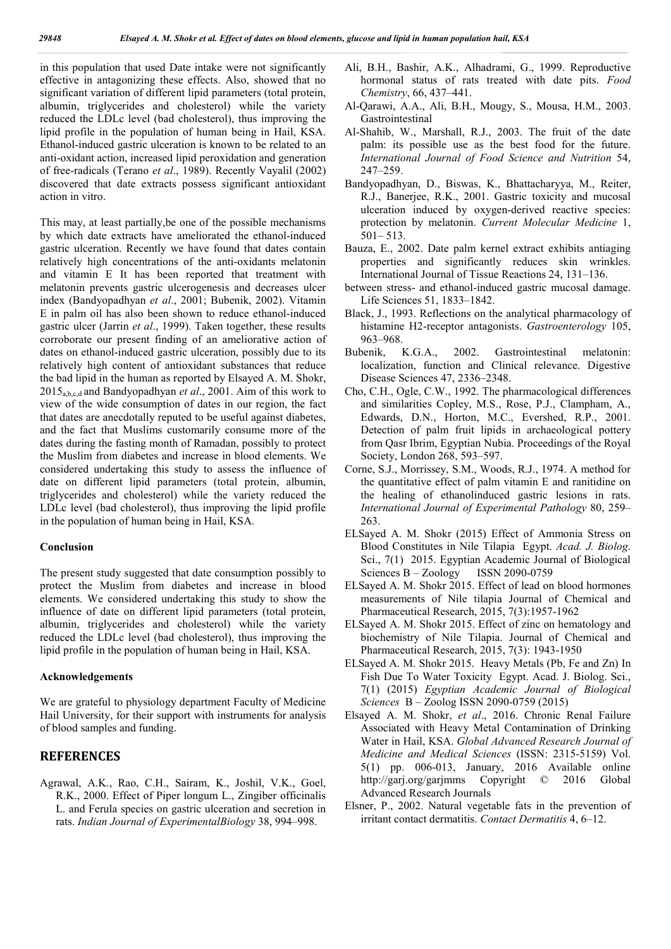in this population that used Date intake were not significantly effective in antagonizing these effects. Also, showed that no significant variation of different lipid parameters (total protein, albumin, triglycerides and cholesterol) while the variety reduced the LDLc level (bad cholesterol), thus improving the lipid profile in the population of human being in Hail, KSA. Ethanol-induced gastric ulceration is known to be related to an anti-oxidant action, increased lipid peroxidation and generation of free-radicals (Terano *et al*., 1989). Recently Vayalil (2002) discovered that date extracts possess significant antioxidant action in vitro.

This may, at least partially,be one of the possible mechanisms by which date extracts have ameliorated the ethanol-induced gastric ulceration. Recently we have found that dates contain relatively high concentrations of the anti-oxidants melatonin and vitamin E It has been reported that treatment with melatonin prevents gastric ulcerogenesis and decreases ulcer index (Bandyopadhyan *et al*., 2001; Bubenik, 2002). Vitamin E in palm oil has also been shown to reduce ethanol-induced gastric ulcer (Jarrin *et al*., 1999). Taken together, these results corroborate our present finding of an ameliorative action of dates on ethanol-induced gastric ulceration, possibly due to its relatively high content of antioxidant substances that reduce the bad lipid in the human as reported by Elsayed A. M. Shokr, 2015a,b,c,d and Bandyopadhyan *et al*., 2001. Aim of this work to view of the wide consumption of dates in our region, the fact that dates are anecdotally reputed to be useful against diabetes, and the fact that Muslims customarily consume more of the dates during the fasting month of Ramadan, possibly to protect the Muslim from diabetes and increase in blood elements. We considered undertaking this study to assess the influence of date on different lipid parameters (total protein, albumin, triglycerides and cholesterol) while the variety reduced the LDLc level (bad cholesterol), thus improving the lipid profile in the population of human being in Hail, KSA.

#### **Conclusion**

The present study suggested that date consumption possibly to protect the Muslim from diabetes and increase in blood elements. We considered undertaking this study to show the influence of date on different lipid parameters (total protein, albumin, triglycerides and cholesterol) while the variety reduced the LDLc level (bad cholesterol), thus improving the lipid profile in the population of human being in Hail, KSA.

#### **Acknowledgements**

We are grateful to physiology department Faculty of Medicine Hail University, for their support with instruments for analysis of blood samples and funding.

### **REFERENCES**

Agrawal, A.K., Rao, C.H., Sairam, K., Joshil, V.K., Goel, R.K., 2000. Effect of Piper longum L., Zingiber officinalis L. and Ferula species on gastric ulceration and secretion in rats. *Indian Journal of ExperimentalBiology* 38, 994–998.

- Ali, B.H., Bashir, A.K., Alhadrami, G., 1999. Reproductive hormonal status of rats treated with date pits. *Food Chemistry*, 66, 437–441.
- Al-Qarawi, A.A., Ali, B.H., Mougy, S., Mousa, H.M., 2003. Gastrointestinal
- Al-Shahib, W., Marshall, R.J., 2003. The fruit of the date palm: its possible use as the best food for the future. *International Journal of Food Science and Nutrition* 54, 247–259.
- Bandyopadhyan, D., Biswas, K., Bhattacharyya, M., Reiter, R.J., Banerjee, R.K., 2001. Gastric toxicity and mucosal ulceration induced by oxygen-derived reactive species: protection by melatonin. *Current Molecular Medicine* 1, 501– 513.
- Bauza, E., 2002. Date palm kernel extract exhibits antiaging properties and significantly reduces skin wrinkles. International Journal of Tissue Reactions 24, 131–136.
- between stress- and ethanol-induced gastric mucosal damage. Life Sciences 51, 1833–1842.
- Black, J., 1993. Reflections on the analytical pharmacology of histamine H2-receptor antagonists. *Gastroenterology* 105, 963–968.
- Bubenik, K.G.A., 2002. Gastrointestinal melatonin: localization, function and Clinical relevance. Digestive Disease Sciences 47, 2336–2348.
- Cho, C.H., Ogle, C.W., 1992. The pharmacological differences and similarities Copley, M.S., Rose, P.J., Clampham, A., Edwards, D.N., Horton, M.C., Evershed, R.P., 2001. Detection of palm fruit lipids in archaeological pottery from Qasr Ibrim, Egyptian Nubia. Proceedings of the Royal Society, London 268, 593–597.
- Corne, S.J., Morrissey, S.M., Woods, R.J., 1974. A method for the quantitative effect of palm vitamin E and ranitidine on the healing of ethanolinduced gastric lesions in rats. *International Journal of Experimental Pathology* 80, 259– 263.
- ELSayed A. M. Shokr (2015) Effect of Ammonia Stress on Blood Constitutes in Nile Tilapia Egypt. *Acad. J. Biolog*. Sci., 7(1) 2015. Egyptian Academic Journal of Biological Sciences B – Zoology ISSN 2090-0759
- ELSayed A. M. Shokr 2015. Effect of lead on blood hormones measurements of Nile tilapia Journal of Chemical and Pharmaceutical Research, 2015, 7(3):1957-1962
- ELSayed A. M. Shokr 2015. Effect of zinc on hematology and biochemistry of Nile Tilapia. Journal of Chemical and Pharmaceutical Research, 2015, 7(3): 1943-1950
- ELSayed A. M. Shokr 2015. Heavy Metals (Pb, Fe and Zn) In Fish Due To Water Toxicity Egypt. Acad. J. Biolog. Sci., 7(1) (2015) *Egyptian Academic Journal of Biological Sciences* B – Zoolog ISSN 2090-0759 (2015)
- Elsayed A. M. Shokr, *et al*., 2016. Chronic Renal Failure Associated with Heavy Metal Contamination of Drinking Water in Hail, KSA. *Global Advanced Research Journal of Medicine and Medical Sciences* (ISSN: 2315-5159) Vol. 5(1) pp. 006-013, January, 2016 Available online http://garj.org/garjmms Copyright © 2016 Global Advanced Research Journals
- Elsner, P., 2002. Natural vegetable fats in the prevention of irritant contact dermatitis. *Contact Dermatitis* 4, 6–12.